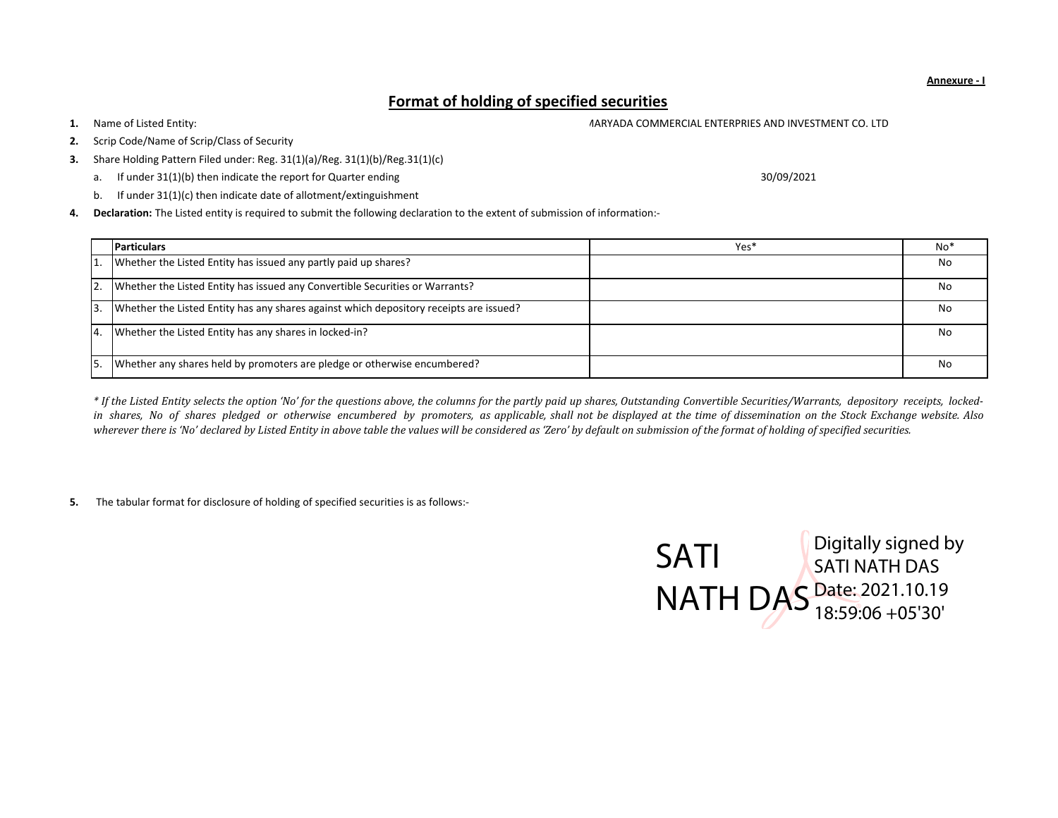Annexure - I

## Format of holding of specified securities

1.Name of Listed Entity: MARYADA COMMERCIAL ENTERPRIES AND INVESTMENT CO. LTD

- 2.Scrip Code/Name of Scrip/Class of Security
- 3.Share Holding Pattern Filed under: Reg. 31(1)(a)/Reg. 31(1)(b)/Reg.31(1)(c)
	- a. If under 31(1)(b) then indicate the report for Quarter ending
	- b. If under 31(1)(c) then indicate date of allotment/extinguishment

4. Declaration: The Listed entity is required to submit the following declaration to the extent of submission of information:-

|                | <b>Particulars</b>                                                                     | Yes <sup>*</sup> | $No*$ |
|----------------|----------------------------------------------------------------------------------------|------------------|-------|
|                | Whether the Listed Entity has issued any partly paid up shares?                        |                  | No    |
| 12.            | Whether the Listed Entity has issued any Convertible Securities or Warrants?           |                  | No    |
| 13.            | Whether the Listed Entity has any shares against which depository receipts are issued? |                  | No    |
| $\overline{4}$ | Whether the Listed Entity has any shares in locked-in?                                 |                  | No    |
| <b>5</b>       | Whether any shares held by promoters are pledge or otherwise encumbered?               |                  | No    |

\* If the Listed Entity selects the option 'No' for the questions above, the columns for the partly paid up shares, Outstanding Convertible Securities/Warrants, depository receipts, lockedin shares, No of shares <sup>p</sup>ledged or otherwise encumbered by promoters, as applicable, shall not be displayed at the time of dissemination on the Stock Exchange website. Also wherever there is 'No' declared by Listed Entity in above table the values will be considered as 'Zero' by default on submission of the format of holding of specified securities.

5. The tabular format for disclosure of holding of specified securities is as follows:-



30/09/2021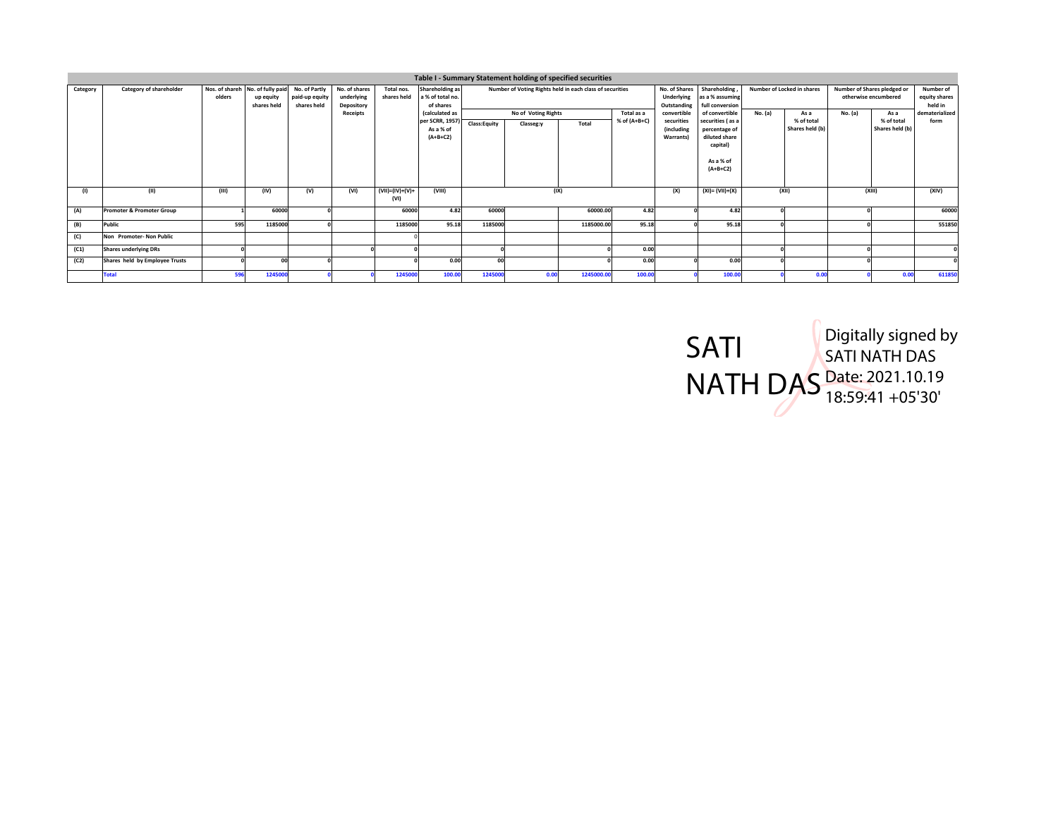|          |                                      |                          |                                               |                                                |                                           |                           |                                                  |              | Table I - Summary Statement holding of specified securities |            |                            |                                                                                                                                |                                    |         |                                                     |                                       |                    |                        |
|----------|--------------------------------------|--------------------------|-----------------------------------------------|------------------------------------------------|-------------------------------------------|---------------------------|--------------------------------------------------|--------------|-------------------------------------------------------------|------------|----------------------------|--------------------------------------------------------------------------------------------------------------------------------|------------------------------------|---------|-----------------------------------------------------|---------------------------------------|--------------------|------------------------|
| Category | Category of shareholder              | Nos. of shareh<br>olders | No. of fully paid<br>up equity<br>shares held | No. of Partly<br>paid-up equity<br>shares held | No. of shares<br>underlying<br>Depository | Total nos.<br>shares held | Shareholding as<br>a % of total no.<br>of shares |              | Number of Voting Rights held in each class of securities    |            |                            | No. of Shares<br>Shareholding<br>Number of Locked in shares<br>Underlying<br>as a % assuming<br>Outstanding<br>full conversion |                                    |         | Number of Shares pledged or<br>otherwise encumbered | Number of<br>equity shares<br>held in |                    |                        |
|          |                                      |                          |                                               |                                                | Receipts                                  |                           | (calculated as<br>per SCRR, 1957)                |              | No of Voting Rights                                         |            | Total as a<br>% of (A+B+C) | convertible<br>securities                                                                                                      | of convertible<br>securities (as a | No. (a) | As a<br>% of total                                  | No. (a)                               | As a<br>% of total | dematerialized<br>form |
|          |                                      |                          |                                               |                                                |                                           |                           | As a % of<br>$(A+B+C2)$                          | Class:Equity | Classeg:y                                                   | Total      |                            | (including<br><b>Warrants</b>                                                                                                  | percentage of<br>diluted share     |         | Shares held (b)                                     |                                       | Shares held (b)    |                        |
|          |                                      |                          |                                               |                                                |                                           |                           |                                                  |              |                                                             |            |                            |                                                                                                                                | capital)<br>As a % of              |         |                                                     |                                       |                    |                        |
|          |                                      |                          |                                               |                                                |                                           |                           |                                                  |              |                                                             |            |                            |                                                                                                                                | $(A+B+C2)$                         |         |                                                     |                                       |                    |                        |
| (1)      | (11)                                 | (III)                    | (IV)                                          | (V)                                            | (VI)                                      | $(VII)=(IV)+(V)+$<br>(VI) | (VIII)                                           |              | (IX)                                                        |            |                            | (X)                                                                                                                            | $(XI) = (VII)+(X)$                 |         | (XII)                                               |                                       | (XIII)             | (XIV)                  |
| (A)      | <b>Promoter &amp; Promoter Group</b> |                          | 60000                                         |                                                |                                           | 60000                     | 4.82                                             | 60000        |                                                             | 60000.00   | 4.82                       |                                                                                                                                | 4.82                               |         |                                                     |                                       |                    | 60000                  |
| (B)      | <b>Public</b>                        | 595                      | 1185000                                       |                                                |                                           | 1185000                   | 95.18                                            | 1185000      |                                                             | 1185000.00 | 95.18                      |                                                                                                                                | 95.18                              |         |                                                     |                                       |                    | 551850                 |
| (C)      | Non Promoter- Non Public             |                          |                                               |                                                |                                           |                           |                                                  |              |                                                             |            |                            |                                                                                                                                |                                    |         |                                                     |                                       |                    |                        |
| (C1)     | <b>Shares underlying DRs</b>         |                          |                                               |                                                |                                           |                           |                                                  |              |                                                             |            | 0.00                       |                                                                                                                                |                                    |         |                                                     |                                       |                    |                        |
| (C2)     | Shares held by Employee Trusts       |                          | 00                                            |                                                |                                           |                           | 0.00                                             | $\alpha$     |                                                             |            | 0.00                       |                                                                                                                                | 0.00                               |         |                                                     |                                       |                    |                        |
|          | <b>Total</b>                         | 596                      | 1245000                                       |                                                |                                           | 124500                    | 100.00                                           | 124500       | 0.00                                                        | 1245000.00 | 100.0                      |                                                                                                                                | 100.0                              |         | 0.00                                                |                                       | 0.00               | 611850                 |

SATI NATH DAS Digitally signed by SATI NATH DAS Date: 2021.10.19 18:59:41 +05'30'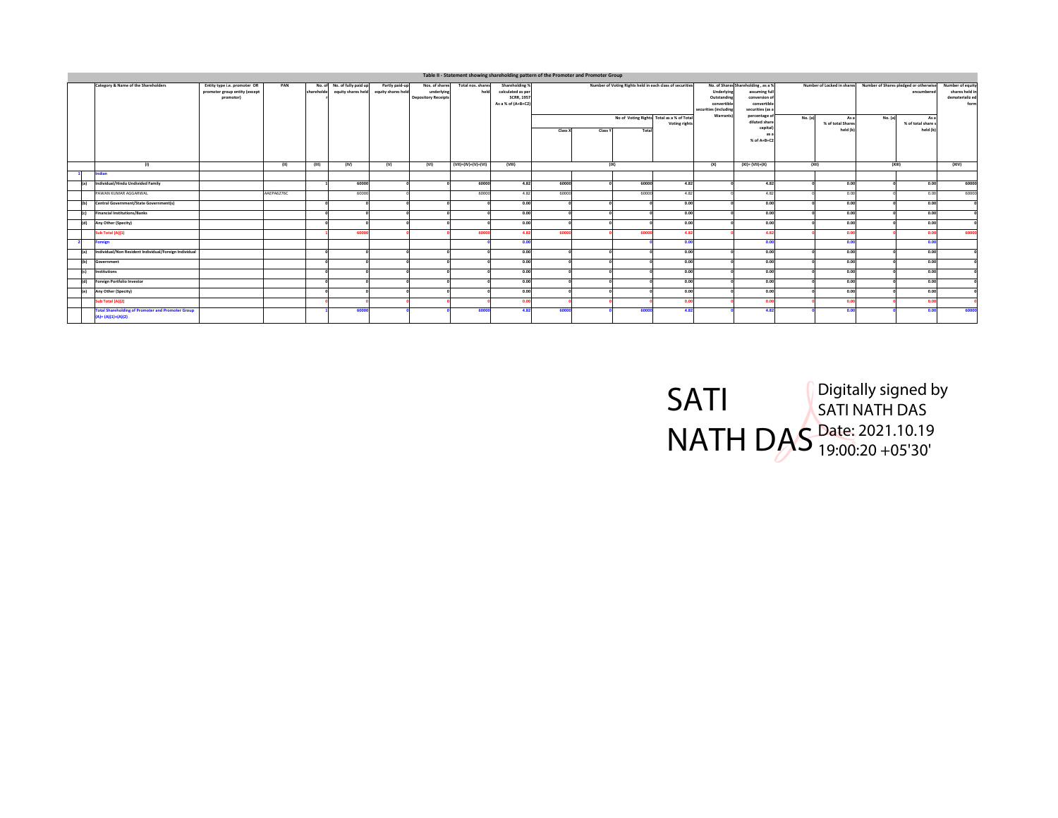|         |                                                                                   |                                                                            |            |            |                                                   |                                      |                                                            |                           |                                                                                |              | Table II - Statement showing shareholding pattern of the Promoter and Promoter Group |       |                                                            |                                                                   |                                                                                        |               |                                       |                                                                                |                                      |                                                               |
|---------|-----------------------------------------------------------------------------------|----------------------------------------------------------------------------|------------|------------|---------------------------------------------------|--------------------------------------|------------------------------------------------------------|---------------------------|--------------------------------------------------------------------------------|--------------|--------------------------------------------------------------------------------------|-------|------------------------------------------------------------|-------------------------------------------------------------------|----------------------------------------------------------------------------------------|---------------|---------------------------------------|--------------------------------------------------------------------------------|--------------------------------------|---------------------------------------------------------------|
|         | Category & Name of the Shareholders                                               | Entity type i.e. promoter OR<br>promoter group entity (except<br>promotor) | PAN        | shareholde | No. of No. of fully paid up<br>equity shares held | Partly paid-up<br>equity shares held | Nos. of shares<br>underlying<br><b>Depository Receipts</b> | Total nos, shares<br>held | Shareholding %<br>calculated as per<br><b>SCRR, 1957</b><br>As a % of (A+B+C2) |              |                                                                                      |       | Number of Voting Rights held in each class of securities   | Underlying<br>Outstanding<br>convertible<br>securities (including | No. of Shares Shareholding . as a %<br>conversion o<br>convertible<br>securities (as a | assuming full |                                       | Number of Locked in shares Number of Shares pledged or otherwise<br>encumbered |                                      | Number of equity<br>shares held in<br>dematerializ ed<br>form |
|         |                                                                                   |                                                                            |            |            |                                                   |                                      |                                                            |                           |                                                                                | Class X      | Class Y                                                                              | Total | No of Voting Rights Total as a % of Total<br>Voting rights | <b>Warrants</b>                                                   | percentage o<br>diluted share<br>capital<br>as:<br>% of A+B+C2                         | No. (a)       | As a<br>% of total Shares<br>held (b) | No. (a)                                                                        | $A +$<br>% of total share<br>held (b |                                                               |
|         | (1)                                                                               |                                                                            | (11)       | (III)      | (IV)                                              | (V)                                  | (VI)                                                       | (VII)=(IV)+(V)+(VI)       | (VIII)                                                                         |              | (IX)                                                                                 |       |                                                            | (X)                                                               | $(XI) = (VII) + (X)$                                                                   |               | (XII)                                 | (XIII)                                                                         |                                      | (XIV)                                                         |
|         | Indian                                                                            |                                                                            |            |            |                                                   |                                      |                                                            |                           |                                                                                |              |                                                                                      |       |                                                            |                                                                   |                                                                                        |               |                                       |                                                                                |                                      |                                                               |
| fal     | Individual/Hindu Undivided Family                                                 |                                                                            |            |            | 60000                                             |                                      |                                                            | 60000                     | 4.82                                                                           | 60000        |                                                                                      | 60000 | 4.82                                                       |                                                                   | 4.82                                                                                   |               | 0.00                                  |                                                                                | 0.00                                 | 60000                                                         |
|         | PAWAN KUMAR AGGARWAL                                                              |                                                                            | AAEPA6276C |            | 60000                                             |                                      |                                                            | 60000                     | 4.82                                                                           | 60000        |                                                                                      | 60000 | 4.82                                                       |                                                                   | 4.82                                                                                   |               | 0.00                                  |                                                                                | 0.00                                 | 60000                                                         |
| l(ы     | Central Government/State Government(s)                                            |                                                                            |            |            |                                                   |                                      |                                                            |                           | 0.00                                                                           |              |                                                                                      |       | 0.00                                                       |                                                                   | 0.00                                                                                   |               | 0.00                                  |                                                                                | 0.00                                 |                                                               |
| (c)     | <b>Financial Institutions/Banks</b>                                               |                                                                            |            |            |                                                   |                                      |                                                            |                           | 0.00                                                                           |              |                                                                                      |       | 0.00                                                       |                                                                   | 0.00                                                                                   |               | 0.00                                  |                                                                                | 0.00                                 |                                                               |
| (d)     | Any Other (Specity)                                                               |                                                                            |            |            |                                                   |                                      |                                                            |                           | 0.00                                                                           |              |                                                                                      |       | 0.00                                                       |                                                                   | 0.00                                                                                   |               | 0.00                                  |                                                                                | 0.00                                 |                                                               |
|         | Sub Total (A)(1)                                                                  |                                                                            |            |            | 60001                                             |                                      |                                                            | 60000                     | 4.82                                                                           | 60000        |                                                                                      | 6000  | 4.82                                                       |                                                                   | 4.8                                                                                    |               | 0.00                                  |                                                                                | 0.00                                 | 60000                                                         |
|         | <b>Foreign</b>                                                                    |                                                                            |            |            |                                                   |                                      |                                                            |                           | 0.00                                                                           |              |                                                                                      |       | 0.00                                                       |                                                                   | 0.01                                                                                   |               | 0.00                                  |                                                                                | 0.00                                 |                                                               |
| fal     | Individual/Non Resident Individual/Foreign Individual                             |                                                                            |            |            |                                                   |                                      |                                                            |                           | 0.00                                                                           |              |                                                                                      |       | 0.00                                                       |                                                                   | 0.00                                                                                   |               | 0.00                                  |                                                                                | 0.00                                 |                                                               |
| (b)     | Government                                                                        |                                                                            |            |            |                                                   |                                      |                                                            |                           | 0.00                                                                           |              |                                                                                      |       | 0.00                                                       |                                                                   | 0.00                                                                                   |               | 0.00                                  |                                                                                | 0.00                                 |                                                               |
| $f - 1$ | Institutions                                                                      |                                                                            |            |            |                                                   |                                      |                                                            |                           | 0.00                                                                           |              |                                                                                      |       | 0.00                                                       |                                                                   | 0.00                                                                                   |               | 0.00                                  |                                                                                | 0.00                                 |                                                               |
| (d)     | <b>Foreign Portfolio Investor</b>                                                 |                                                                            |            |            |                                                   |                                      |                                                            |                           | 0.00                                                                           |              |                                                                                      |       | 0.00                                                       |                                                                   | 0.00                                                                                   |               | 0.00                                  |                                                                                | 0.00                                 |                                                               |
| (e)     | Any Other (Specity)                                                               |                                                                            |            |            |                                                   |                                      |                                                            |                           | 0.00                                                                           |              |                                                                                      |       | 0.00                                                       |                                                                   | 0.00                                                                                   |               | 0.00                                  |                                                                                | 0.00                                 |                                                               |
|         | Sub Total (A)(2)                                                                  |                                                                            |            |            |                                                   |                                      |                                                            |                           | 0.0                                                                            |              |                                                                                      |       | 0.00                                                       |                                                                   | 0.0                                                                                    |               | 0.00                                  |                                                                                | n n                                  |                                                               |
|         | <b>Total Shareholding of Promoter and Promoter Group</b><br>$(A) = (A)(1)+(A)(2)$ |                                                                            |            |            | 60000                                             |                                      |                                                            | 60000                     | 4.82                                                                           | <b>GOOOC</b> |                                                                                      | 6000  | 4.82                                                       |                                                                   | 4.82                                                                                   |               | 0.00                                  |                                                                                | 0 <sub>0</sub>                       | 60000                                                         |

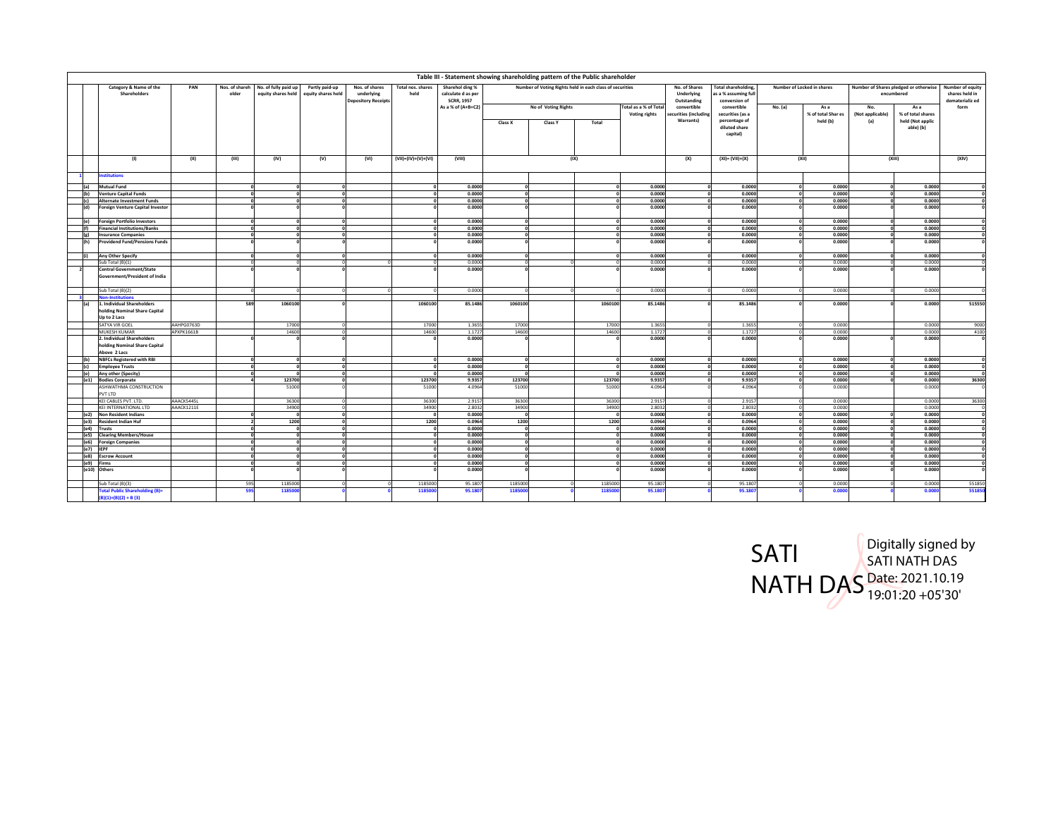|                         |                                                                             |            |                         |                                            |                                      |                                                            |                           |                                                            | Table III - Statement showing shareholding pattern of the Public shareholder |          |                                               |                                            |                                                                  |         |                            |                         |                                                     |                                                       |
|-------------------------|-----------------------------------------------------------------------------|------------|-------------------------|--------------------------------------------|--------------------------------------|------------------------------------------------------------|---------------------------|------------------------------------------------------------|------------------------------------------------------------------------------|----------|-----------------------------------------------|--------------------------------------------|------------------------------------------------------------------|---------|----------------------------|-------------------------|-----------------------------------------------------|-------------------------------------------------------|
|                         | Category & Name of the<br>Shareholders                                      | PAN        | Nos. of shareh<br>older | No. of fully paid up<br>equity shares held | Partly paid-up<br>equity shares held | Nos. of shares<br>underlying<br><b>Depository Receipts</b> | Total nos, shares<br>held | Sharehol ding %<br>calculate d as per<br><b>SCRR, 1957</b> | Number of Voting Rights held in each class of securities                     |          |                                               | No. of Shares<br>Underlying<br>Outstanding | <b>Total shareholding</b><br>s a % assuming ful<br>conversion of |         | Number of Locked in shares |                         | Number of Shares pledged or otherwise<br>encumbered | Number of equity<br>shares held in<br>dematerializ ed |
|                         |                                                                             |            |                         |                                            |                                      |                                                            |                           | As a % of (A+B+C2)                                         | No of Voting Rights                                                          |          | Total as a % of Total<br><b>Voting rights</b> | convertible<br>curities (including         | convertible<br>securities (as a                                  | No. (a) | As a<br>% of total Shar es | No.<br>(Not applicable) | As a<br>% of total shares                           | form                                                  |
|                         |                                                                             |            |                         |                                            |                                      |                                                            |                           |                                                            | Class X<br><b>Class Y</b>                                                    | Total    |                                               | Warrants)                                  | percentage of<br>diluted share<br>capital)                       |         | held (b)                   | (a)                     | held (Not applic<br>able) (b)                       |                                                       |
|                         | (1)                                                                         | (II)       | (III)                   | (IV)                                       | (V)                                  | (VI)                                                       | (VII)=(IV)+(V)+(VI)       | (VIII)                                                     |                                                                              | (IX)     |                                               | (X)                                        | $(XI) = (VII)+(X)$                                               |         | (XII)                      |                         | (XIII)                                              | (XIV)                                                 |
|                         | <b>nstitutions</b>                                                          |            |                         |                                            |                                      |                                                            |                           |                                                            |                                                                              |          |                                               |                                            |                                                                  |         |                            |                         |                                                     |                                                       |
| (a)                     | Mutual Fund                                                                 |            |                         |                                            |                                      |                                                            |                           | 0.0000                                                     | $\Omega$                                                                     |          | 0.0000                                        |                                            | 0.0000                                                           |         | 0.0000                     |                         | 0.0000                                              |                                                       |
| (b)                     | <b>Venture Capital Funds</b>                                                |            |                         |                                            |                                      |                                                            |                           | 0.0000                                                     | 0                                                                            |          | 0.0000                                        |                                            | 0.0000                                                           |         | 0.0000                     |                         | 0.0000                                              | o                                                     |
| (c)                     | <b>Alternate Investment Funds</b>                                           |            |                         |                                            | ി                                    |                                                            |                           | 0.0000                                                     |                                                                              |          | 0.0000                                        |                                            | 0.0000                                                           |         | 0.0000                     |                         | 0.0000                                              | $\mathbf 0$                                           |
| (d)                     | <b>Foreign Venture Capital Investor</b>                                     |            |                         |                                            |                                      |                                                            |                           | 0.0000                                                     |                                                                              |          | 0.0000                                        |                                            | 0.0000                                                           |         | 0.0000                     |                         | 0.0000                                              | $\mathbf{o}$                                          |
| (e)                     | <b>Foreign Portfolio Investors</b>                                          |            |                         |                                            | ി                                    |                                                            |                           | 0.0000                                                     | $\Omega$                                                                     |          | 0.0000                                        |                                            | 0.0000                                                           |         | 0.0000                     |                         | 0.0000                                              | $\mathbf 0$                                           |
| l(f)                    | <b>Financial Institutions/Banks</b>                                         |            |                         |                                            |                                      |                                                            |                           | 0.0000                                                     | $\Omega$                                                                     |          | 0.0000                                        |                                            | 0.0000                                                           |         | 0.0000                     |                         | 0.0000                                              | o                                                     |
| (g)                     | <b>Insurance Companies</b>                                                  |            |                         |                                            | $\sqrt{2}$                           |                                                            |                           | 0.0000                                                     |                                                                              |          | 0.0000                                        |                                            | 0.0000                                                           |         | 0.0000                     |                         | 0.0000                                              | $\mathbf{o}$                                          |
| (h)                     | <b>Providend Fund/Pensions Funds</b>                                        |            |                         |                                            |                                      |                                                            |                           | 0.0000                                                     |                                                                              |          | 0.0000                                        |                                            | 0.0000                                                           |         | 0.0000                     |                         | 0.0000                                              | $\mathbf{o}$                                          |
| $\left  \right $        | Any Other Specify                                                           |            |                         |                                            | n                                    |                                                            |                           | 0.0000                                                     | $\Omega$                                                                     |          | 0.0000                                        |                                            | 0.0000                                                           |         | 0.0000                     |                         | 0.0000                                              | $\mathbf{o}$                                          |
|                         | Sub Total (B)(1)                                                            |            |                         |                                            |                                      |                                                            |                           | 0.0000                                                     |                                                                              |          | 0.0000                                        |                                            | 0.000                                                            |         | 0.0000                     |                         | 0.0000                                              |                                                       |
| $\overline{\mathbf{z}}$ | <b>Central Government/State</b><br>Government/President of India            |            |                         |                                            |                                      |                                                            |                           | 0.0000                                                     |                                                                              |          | 0.0000                                        |                                            | 0.0000                                                           |         | 0.0000                     |                         | 0.0000                                              | $\mathbf{o}$                                          |
|                         | Sub Total (B)(2)                                                            |            |                         |                                            |                                      |                                                            |                           | 0.0000                                                     |                                                                              |          | 0.0000                                        |                                            | 0.0000                                                           |         | 0.0000                     |                         | 0.0000                                              |                                                       |
|                         | <b>Non-Institutions</b>                                                     |            |                         |                                            |                                      |                                                            |                           |                                                            |                                                                              |          |                                               |                                            |                                                                  |         |                            |                         |                                                     |                                                       |
| (a)                     | 1. Individual Shareholders<br>holding Nominal Share Capital<br>Up to 2 Lacs |            | 589                     | 1060100                                    |                                      |                                                            | 1060100                   | 85.1486                                                    | 1060100                                                                      | 1060100  | 85.1486                                       |                                            | 85.1486                                                          |         | 0.0000                     |                         | 0.0000                                              | 515550                                                |
|                         | SATYA VIR GOEL                                                              | AAHPG0763D |                         | 17000                                      |                                      |                                                            | 17000                     | 1.3655                                                     | 17000                                                                        | 17000    | 1.3655                                        |                                            | 1.3655                                                           |         | 0.0000                     |                         | 0.0000                                              | 9000                                                  |
|                         | MUKESH KUMAR                                                                | APXPK1661B |                         | 14600                                      |                                      |                                                            | 14600                     | 1.1727                                                     | 14600                                                                        | 14600    | 1.1727                                        |                                            | 1.1727                                                           |         | 0.0000                     |                         | 0.0000                                              | 4100                                                  |
|                         | 2. Individual Shareholders<br>holding Nominal Share Capital<br>Above 2 Lacs |            |                         |                                            |                                      |                                                            |                           | 0.0000                                                     |                                                                              |          | 0.0000                                        |                                            | 0.0000                                                           |         | 0.0000                     |                         | 0.0000                                              | $\mathbf 0$                                           |
| l(ы                     | <b>NBFCs Registered with RBI</b>                                            |            |                         |                                            |                                      |                                                            |                           | 0.0000                                                     | $\Omega$                                                                     |          | 0.0000                                        |                                            | 0.0000                                                           |         | 0.0000                     |                         | 0.0000                                              | $\mathbf{o}$                                          |
| (c)                     | <b>Employee Trusts</b>                                                      |            |                         |                                            | o<br>n.                              |                                                            |                           | 0.0000<br>0.0000                                           | n<br>$\sim$                                                                  |          | 0.0000<br>0.0000                              |                                            | 0.0000                                                           |         | 0.0000                     |                         | 0.0000<br>0.0000                                    | $\overline{\mathbf{0}}$                               |
| (e)<br>(e1)             | Any other (Specity)<br><b>Bodies Corporate</b>                              |            |                         | 123700                                     | $\Omega$                             |                                                            | 123700                    | 9.9357                                                     | 123700                                                                       | 123700   | 9.9357                                        |                                            | 0.0000<br>9.9357                                                 |         | 0.0000<br>0.0000           |                         | 0.0000                                              | ō<br>36300                                            |
|                         | ASHWATHMA CONSTRUCTION<br>PVT LTD                                           |            |                         | 51000                                      |                                      |                                                            | 51000                     | 4.0964                                                     | 51000                                                                        | 51000    | 4.0964                                        |                                            | 4.0964                                                           |         | 0.0000                     |                         | 0.0000                                              |                                                       |
|                         | KEI CABLES PVT. LTD.                                                        | AAACK5445L |                         | 36300                                      |                                      |                                                            | 36300                     | 2.9157                                                     | 36300                                                                        | 36300    | 2.9157                                        |                                            | 2.915                                                            |         | 0.0000                     |                         | 0.0000                                              | 36300                                                 |
|                         | KEI INTERNATIONAL LTD                                                       | AAACK1211E |                         | 34900                                      | $\Omega$                             |                                                            | 34900                     | 2.8032                                                     | 34900                                                                        | 34900    | 2.8032                                        |                                            | 2.8032                                                           |         | 0.0000                     |                         | 0.0000                                              | $\mathbf{0}$                                          |
| (e <sub>2</sub> )       | <b>Non Resident Indians</b>                                                 |            |                         |                                            | $\Omega$                             |                                                            |                           | 0.0000                                                     |                                                                              |          | 0.0000                                        |                                            | 0.0000                                                           |         | 0.0000                     |                         | 0.0000                                              | $\mathbf 0$                                           |
| (e3)                    | <b>Resident Indian Huf</b>                                                  |            |                         | 1200                                       | n.                                   |                                                            | 1200                      | 0.0964                                                     | 1200                                                                         | 1200     | 0.0964                                        |                                            | 0.0964                                                           |         | 0.0000                     |                         | 0.0000                                              | $\mathbf 0$                                           |
| (e4)                    | <b>Trusts</b>                                                               |            |                         |                                            |                                      |                                                            |                           | 0.0000                                                     |                                                                              |          | 0.0000                                        |                                            | 0.0000                                                           |         | 0.0000                     |                         | 0.0000                                              | $\overline{0}$                                        |
| (e5)                    | <b>Clearing Members/House</b>                                               |            |                         |                                            | n                                    |                                                            |                           | 0.0000                                                     | $\Omega$<br>$\sim$                                                           |          | 0.0000                                        |                                            | 0.0000                                                           |         | 0.0000                     |                         | 0.0000                                              | $\mathbf 0$                                           |
| (e6)<br>(e7)            | <b>Foreign Companies</b><br><b>IEPF</b>                                     |            |                         |                                            |                                      |                                                            |                           | 0.0000<br>0.0000                                           |                                                                              |          | 0.0000<br>0.0000                              |                                            | 0.0000<br>0.0000                                                 |         | 0.0000<br>0.0000           |                         | 0.0000<br>0.0000                                    | $\mathbf{o}$<br>$\mathbf 0$                           |
|                         | (e8) Escrow Account                                                         |            |                         |                                            | $\circ$                              |                                                            |                           | 0.0000                                                     | $\Omega$                                                                     | $\Omega$ | 0.0000                                        |                                            | 0.0000                                                           |         | 0.0000                     |                         | 0.0000                                              | $\mathbf 0$                                           |
| (e9) Firms              |                                                                             |            |                         |                                            |                                      |                                                            |                           | 0.0000                                                     |                                                                              |          | 0.0000                                        |                                            | 0.0000                                                           |         | 0.0000                     |                         | 0.0000                                              | $\mathbf{o}$                                          |
|                         | (e10) Others                                                                |            |                         |                                            |                                      |                                                            |                           | 0.0000                                                     |                                                                              |          | 0.0000                                        |                                            | 0.0000                                                           |         | 0.0000                     |                         | 0.0000                                              | C)                                                    |
|                         | Sub Total (B)(3)                                                            |            | 595                     | 1185000                                    |                                      |                                                            | 118500                    | 95.1807                                                    | 1185000                                                                      | 1185000  | 95.1807                                       |                                            | 95.180                                                           |         | 0.0000                     |                         | 0.0000                                              | 551850                                                |
|                         | <b>Total Public Shareholding (B)=</b><br>$B(1)+(B)(2)+B(3)$                 |            |                         | 118500                                     |                                      |                                                            | 11850                     | 95.1807                                                    | 118500                                                                       | 118500   | 95.1807                                       |                                            | 95.180                                                           |         | 0.000                      |                         | 0.000                                               | 551850                                                |

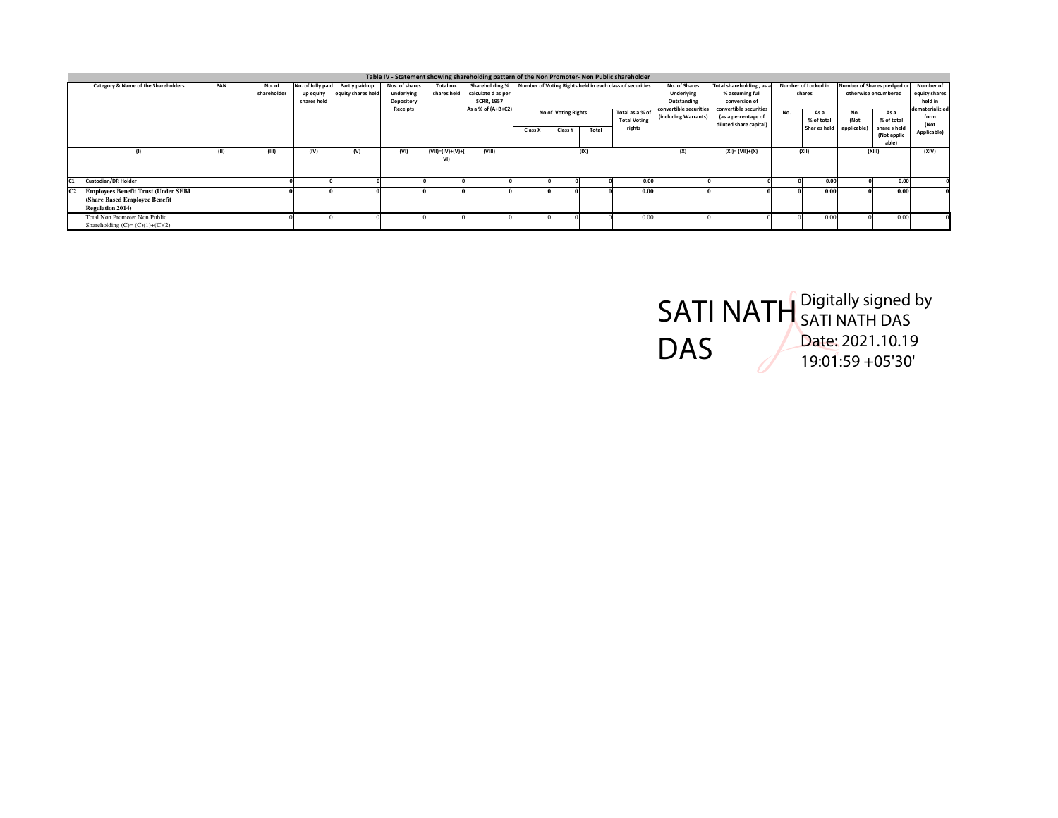|                |                                                                                                         |     |                       |                                               |                                      |                                                        |                           | Table IV - Statement showing shareholding pattern of the Non Promoter- Non Public shareholder |                                                                                                                    |                |       |                                                                                              |                                                                                                               |                        |                                       |                            |                                                            |                                                                  |                     |
|----------------|---------------------------------------------------------------------------------------------------------|-----|-----------------------|-----------------------------------------------|--------------------------------------|--------------------------------------------------------|---------------------------|-----------------------------------------------------------------------------------------------|--------------------------------------------------------------------------------------------------------------------|----------------|-------|----------------------------------------------------------------------------------------------|---------------------------------------------------------------------------------------------------------------|------------------------|---------------------------------------|----------------------------|------------------------------------------------------------|------------------------------------------------------------------|---------------------|
|                | Category & Name of the Shareholders                                                                     | PAN | No. of<br>shareholder | No. of fully paid<br>up equity<br>shares held | Partly paid-up<br>equity shares held | Nos. of shares<br>underlying<br>Depository<br>Receipts | Total no.<br>shares held  | calculate d as per<br><b>SCRR, 1957</b><br>As a % of (A+B+C2)                                 | Sharehol ding % Number of Voting Rights held in each class of securities<br>No of Voting Rights<br>Total as a % of |                |       | No. of Shares<br>Underlying<br>Outstanding<br>convertible securities<br>(including Warrants) | Total shareholding, as a<br>% assuming full<br>conversion of<br>convertible securities<br>(as a percentage of | No.                    | Number of Locked in<br>shares<br>As a | No.                        | Number of Shares pledged o<br>otherwise encumbered<br>As a | Number of<br>equity shares<br>held in<br>dematerializ ed<br>form |                     |
|                |                                                                                                         |     |                       |                                               |                                      |                                                        |                           |                                                                                               | Class X                                                                                                            | <b>Class Y</b> | Total | <b>Total Voting</b><br>rights                                                                |                                                                                                               | diluted share capital) |                                       | % of total<br>Shar es held | (Not<br>applicable                                         | % of total<br>share s held<br>(Not applic<br>able)               | (Not<br>Applicable) |
|                | (1)                                                                                                     |     | (III)                 | (IV)                                          | (V)                                  | (VI)                                                   | $(VII)=(IV)+(V)+($<br>VI) | (VIII)                                                                                        |                                                                                                                    |                | (IX)  |                                                                                              | (X)                                                                                                           | $(XI) = (VII)+(X)$     |                                       | (XII)                      |                                                            | (XIII)                                                           | (XIV)               |
| C1             | <b>Custodian/DR Holder</b>                                                                              |     |                       |                                               |                                      |                                                        |                           |                                                                                               |                                                                                                                    |                |       | 0.00                                                                                         |                                                                                                               |                        |                                       | 0.00                       |                                                            | 0.00                                                             |                     |
| C <sub>2</sub> | <b>Employees Benefit Trust (Under SEBI</b><br>(Share Based Employee Benefit)<br><b>Regulation 2014)</b> |     |                       |                                               |                                      |                                                        |                           |                                                                                               |                                                                                                                    |                |       | 0.00                                                                                         |                                                                                                               |                        |                                       | 0.00                       |                                                            | 0.0                                                              |                     |
|                | Total Non Promoter Non Public<br>Shareholding $(C)=(C)(1)+(C)(2)$                                       |     |                       |                                               |                                      |                                                        |                           |                                                                                               |                                                                                                                    |                |       | 0.0                                                                                          |                                                                                                               |                        |                                       | 0.0                        |                                                            | 0 <sup>0</sup>                                                   |                     |

SATI NATH DAS Digitally signed by SATI NATH DAS Date: 2021.10.19 19:01:59 +05'30'